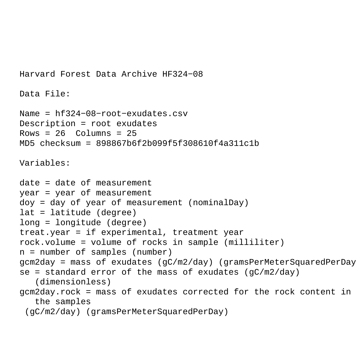```
Harvard Forest Data Archive HF324−08
Data File:
Name = hf324−08−root−exudates.csv
Description = root exudates 
Rows = 26 Columns = 25MD5 checksum = 898867b6f2b099f5f308610f4a311c1b
Variables:
date = date of measurement 
year = year of measurement 
doy = day of year of measurement (nominalDay) 
lat = latitude (degree) 
long = longitude (degree) 
treat.year = if experimental, treatment year 
rock.volume = volume of rocks in sample (milliliter) 
n = number of samples (number) 
gcm2day = mass of exudates (gC/m2/day) (gramsPerMeterSquaredPerDay) 
se = standard error of the mass of exudates (qC/m2/day) (dimensionless) 
gcm2day.rock = mass of exudates corrected for the rock content in 
    the samples
  (gC/m2/day) (gramsPerMeterSquaredPerDay)
```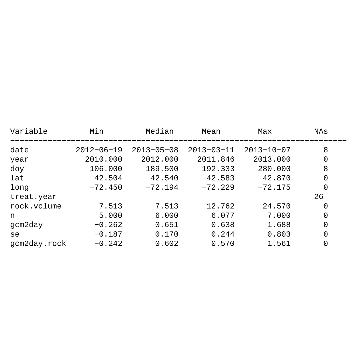| Variable     | Min              | Median           | Mean             | Max              | NAs |
|--------------|------------------|------------------|------------------|------------------|-----|
| date         | $2012 - 06 - 19$ | $2013 - 05 - 08$ | $2013 - 03 - 11$ | $2013 - 10 - 07$ | 8   |
| year         | 2010.000         | 2012.000         | 2011.846         | 2013.000         | 0   |
| doy          | 106.000          | 189.500          | 192.333          | 280.000          | 8   |
| lat          | 42.504           | 42.540           | 42.583           | 42.870           | 0   |
| long         | $-72.450$        | $-72.194$        | $-72.229$        | $-72.175$        | 0   |
| treat.year   |                  |                  |                  |                  | 26  |
| rock.volume  | 7.513            | 7.513            | 12.762           | 24.570           | 0   |
| n            | 5.000            | 6.000            | 6.077            | 7.000            | 0   |
| gcm2day      | $-0.262$         | 0.651            | 0.638            | 1.688            | 0   |
| se           | $-0.187$         | 0.170            | 0.244            | 0.803            | 0   |
| gcm2day.rock | $-0.242$         | 0.602            | 0.570            | 1.561            | 0   |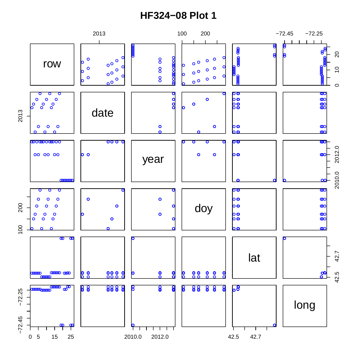## **HF324-08 Plot 1**

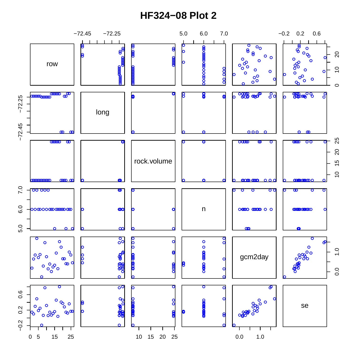## **HF324-08 Plot 2**